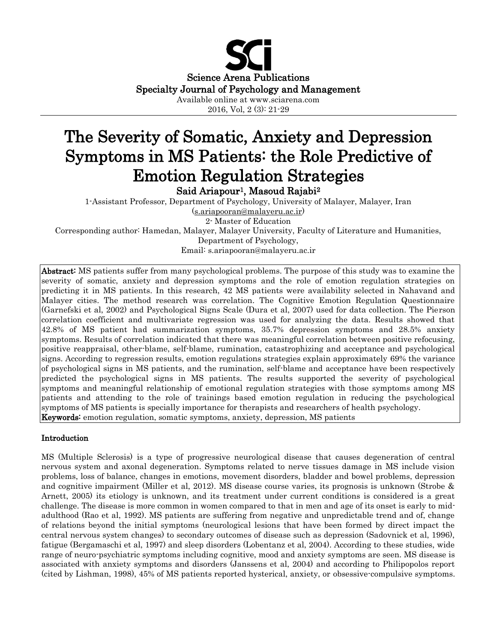

2016, Vol, 2 (3): 21-29

# The Severity of Somatic, Anxiety and Depression Symptoms in MS Patients: the Role Predictive of Emotion Regulation Strategies

Said Ariapour<sup>1</sup>, Masoud Rajabi<sup>2</sup>

1-Assistant Professor, Department of Psychology, University of Malayer, Malayer, Iran [\(s.ariapooran@malayeru.ac.ir\)](mailto:s.ariapooran@malayeru.ac.ir) 2- Master of Education Corresponding author: Hamedan, Malayer, Malayer University, Faculty of Literature and Humanities, Department of Psychology,

Email: s.ariapooran@malayeru.ac.ir

Abstract: MS patients suffer from many psychological problems. The purpose of this study was to examine the severity of somatic, anxiety and depression symptoms and the role of emotion regulation strategies on predicting it in MS patients. In this research, 42 MS patients were availability selected in Nahavand and Malayer cities. The method research was correlation. The Cognitive Emotion Regulation Questionnaire (Garnefski et al, 2002) and Psychological Signs Scale (Dura et al, 2007) used for data collection. The Pierson correlation coefficient and multivariate regression was used for analyzing the data. Results showed that 42.8% of MS patient had summarization symptoms, 35.7% depression symptoms and 28.5% anxiety symptoms. Results of correlation indicated that there was meaningful correlation between positive refocusing, positive reappraisal, other-blame, self-blame, rumination, catastrophizing and acceptance and psychological signs. According to regression results, emotion regulations strategies explain approximately 69% the variance of psychological signs in MS patients, and the rumination, self-blame and acceptance have been respectively predicted the psychological signs in MS patients. The results supported the severity of psychological symptoms and meaningful relationship of emotional regulation strategies with those symptoms among MS patients and attending to the role of trainings based emotion regulation in reducing the psychological symptoms of MS patients is specially importance for therapists and researchers of health psychology. Keywords: emotion regulation, somatic symptoms, anxiety, depression, MS patients

## Introduction

MS (Multiple Sclerosis) is a type of progressive neurological disease that causes degeneration of central nervous system and axonal degeneration. Symptoms related to nerve tissues damage in MS include vision problems, loss of balance, changes in emotions, movement disorders, bladder and bowel problems, depression and cognitive impairment (Miller et al, 2012). MS disease course varies, its prognosis is unknown (Strobe & Arnett, 2005) its etiology is unknown, and its treatment under current conditions is considered is a great challenge. The disease is more common in women compared to that in men and age of its onset is early to midadulthood (Rao et al, 1992). MS patients are suffering from negative and unpredictable trend and of, change of relations beyond the initial symptoms (neurological lesions that have been formed by direct impact the central nervous system changes) to secondary outcomes of disease such as depression (Sadovnick et al, 1996), fatigue (Bergamaschi et al, 1997) and sleep disorders (Lobentanz et al, 2004). According to these studies, wide range of neuro-psychiatric symptoms including cognitive, mood and anxiety symptoms are seen. MS disease is associated with anxiety symptoms and disorders (Janssens et al, 2004) and according to Philipopolos report (cited by Lishman, 1998), 45% of MS patients reported hysterical, anxiety, or obsessive-compulsive symptoms.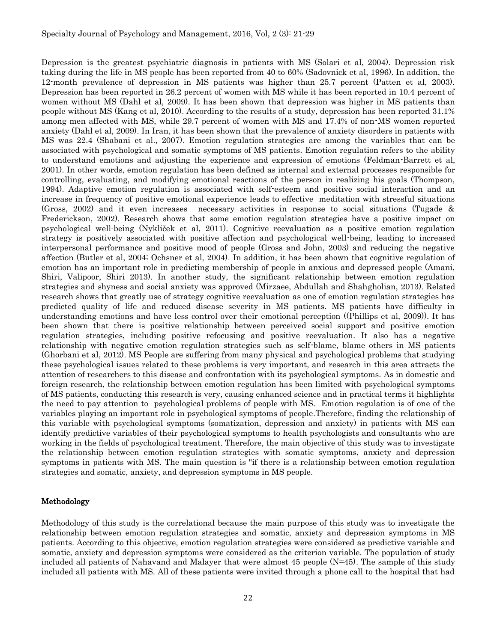Depression is the greatest psychiatric diagnosis in patients with MS (Solari et al, 2004). Depression risk taking during the life in MS people has been reported from 40 to 60% (Sadovnick et al, 1996). In addition, the 12-month prevalence of depression in MS patients was higher than 25.7 percent (Patten et al, 2003). Depression has been reported in 26.2 percent of women with MS while it has been reported in 10.4 percent of women without MS (Dahl et al, 2009). It has been shown that depression was higher in MS patients than people without MS (Kang et al, 2010). According to the results of a study, depression has been reported 31.1% among men affected with MS, while 29.7 percent of women with MS and 17.4% of non-MS women reported anxiety (Dahl et al, 2009). In Iran, it has been shown that the prevalence of anxiety disorders in patients with MS was 22.4 (Shabani et al., 2007). Emotion regulation strategies are among the variables that can be associated with psychological and somatic symptoms of MS patients. Emotion regulation refers to the ability to understand emotions and adjusting the experience and expression of emotions (Feldman-Barrett et al, 2001). In other words, emotion regulation has been defined as internal and external processes responsible for controlling, evaluating, and modifying emotional reactions of the person in realizing his goals (Thompson, 1994). Adaptive emotion regulation is associated with self-esteem and positive social interaction and an increase in frequency of positive emotional experience leads to effective meditation with stressful situations (Gross, 2002) and it even increases necessary activities in response to social situations (Tugade & Frederickson, 2002). Research shows that some emotion regulation strategies have a positive impact on psychological well-being (Nykliček et al, 2011). Cognitive reevaluation as a positive emotion regulation strategy is positively associated with positive affection and psychological well-being, leading to increased interpersonal performance and positive mood of people (Gross and John, 2003) and reducing the negative affection (Butler et al, 2004; Ochsner et al, 2004). In addition, it has been shown that cognitive regulation of emotion has an important role in predicting membership of people in anxious and depressed people (Amani, Shiri, Valipoor, Shiri 2013). In another study, the significant relationship between emotion regulation strategies and shyness and social anxiety was approved (Mirzaee, Abdullah and Shahgholian, 2013). Related research shows that greatly use of strategy cognitive reevaluation as one of emotion regulation strategies has predicted quality of life and reduced disease severity in MS patients. MS patients have difficulty in understanding emotions and have less control over their emotional perception ((Phillips et al, 2009)). It has been shown that there is positive relationship between perceived social support and positive emotion regulation strategies, including positive refocusing and positive reevaluation. It also has a negative relationship with negative emotion regulation strategies such as self-blame, blame others in MS patients (Ghorbani et al, 2012). MS People are suffering from many physical and psychological problems that studying these psychological issues related to these problems is very important, and research in this area attracts the attention of researchers to this disease and confrontation with its psychological symptoms. As in domestic and foreign research, the relationship between emotion regulation has been limited with psychological symptoms of MS patients, conducting this research is very, causing enhanced science and in practical terms it highlights the need to pay attention to psychological problems of people with MS. Emotion regulation is of one of the variables playing an important role in psychological symptoms of people.Therefore, finding the relationship of this variable with psychological symptoms (somatization, depression and anxiety) in patients with MS can identify predictive variables of their psychological symptoms to health psychologists and consultants who are working in the fields of psychological treatment. Therefore, the main objective of this study was to investigate the relationship between emotion regulation strategies with somatic symptoms, anxiety and depression symptoms in patients with MS. The main question is "if there is a relationship between emotion regulation strategies and somatic, anxiety, and depression symptoms in MS people.

## Methodology

Methodology of this study is the correlational because the main purpose of this study was to investigate the relationship between emotion regulation strategies and somatic, anxiety and depression symptoms in MS patients. According to this objective, emotion regulation strategies were considered as predictive variable and somatic, anxiety and depression symptoms were considered as the criterion variable. The population of study included all patients of Nahavand and Malayer that were almost 45 people (N=45). The sample of this study included all patients with MS. All of these patients were invited through a phone call to the hospital that had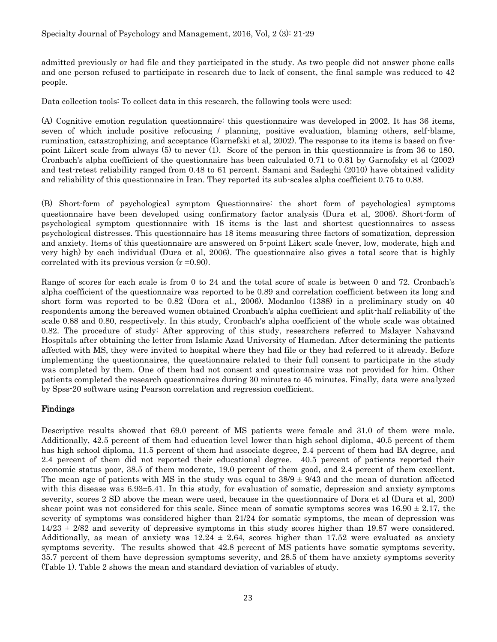admitted previously or had file and they participated in the study. As two people did not answer phone calls and one person refused to participate in research due to lack of consent, the final sample was reduced to 42 people.

Data collection tools: To collect data in this research, the following tools were used:

(A) Cognitive emotion regulation questionnaire: this questionnaire was developed in 2002. It has 36 items, seven of which include positive refocusing / planning, positive evaluation, blaming others, self-blame, rumination, catastrophizing, and acceptance (Garnefski et al, 2002). The response to its items is based on fivepoint Likert scale from always (5) to never (1). Score of the person in this questionnaire is from 36 to 180. Cronbach's alpha coefficient of the questionnaire has been calculated 0.71 to 0.81 by Garnofsky et al (2002) and test-retest reliability ranged from 0.48 to 61 percent. Samani and Sadeghi (2010) have obtained validity and reliability of this questionnaire in Iran. They reported its sub-scales alpha coefficient 0.75 to 0.88.

(B) Short-form of psychological symptom Questionnaire: the short form of psychological symptoms questionnaire have been developed using confirmatory factor analysis (Dura et al, 2006). Short-form of psychological symptom questionnaire with 18 items is the last and shortest questionnaires to assess psychological distresses. This questionnaire has 18 items measuring three factors of somatization, depression and anxiety. Items of this questionnaire are answered on 5-point Likert scale (never, low, moderate, high and very high) by each individual (Dura et al, 2006). The questionnaire also gives a total score that is highly correlated with its previous version  $(r = 0.90)$ .

Range of scores for each scale is from 0 to 24 and the total score of scale is between 0 and 72. Cronbach's alpha coefficient of the questionnaire was reported to be 0.89 and correlation coefficient between its long and short form was reported to be 0.82 (Dora et al., 2006). Modanloo (1388) in a preliminary study on 40 respondents among the bereaved women obtained Cronbach's alpha coefficient and split-half reliability of the scale 0.88 and 0.80, respectively. In this study, Cronbach's alpha coefficient of the whole scale was obtained 0.82. The procedure of study: After approving of this study, researchers referred to Malayer Nahavand Hospitals after obtaining the letter from Islamic Azad University of Hamedan. After determining the patients affected with MS, they were invited to hospital where they had file or they had referred to it already. Before implementing the questionnaires, the questionnaire related to their full consent to participate in the study was completed by them. One of them had not consent and questionnaire was not provided for him. Other patients completed the research questionnaires during 30 minutes to 45 minutes. Finally, data were analyzed by Spss-20 software using Pearson correlation and regression coefficient.

## Findings

Descriptive results showed that 69.0 percent of MS patients were female and 31.0 of them were male. Additionally, 42.5 percent of them had education level lower than high school diploma, 40.5 percent of them has high school diploma, 11.5 percent of them had associate degree, 2.4 percent of them had BA degree, and 2.4 percent of them did not reported their educational degree. 40.5 percent of patients reported their economic status poor, 38.5 of them moderate, 19.0 percent of them good, and 2.4 percent of them excellent. The mean age of patients with MS in the study was equal to  $38/9 \pm 9/43$  and the mean of duration affected with this disease was  $6.93\pm5.41$ . In this study, for evaluation of somatic, depression and anxiety symptoms severity, scores 2 SD above the mean were used, because in the questionnaire of Dora et al (Dura et al, 200) shear point was not considered for this scale. Since mean of somatic symptoms scores was  $16.90 \pm 2.17$ , the severity of symptoms was considered higher than 21/24 for somatic symptoms, the mean of depression was 14/23 ± 2/82 and severity of depressive symptoms in this study scores higher than 19.87 were considered. Additionally, as mean of anxiety was  $12.24 \pm 2.64$ , scores higher than 17.52 were evaluated as anxiety symptoms severity. The results showed that 42.8 percent of MS patients have somatic symptoms severity, 35.7 percent of them have depression symptoms severity, and 28.5 of them have anxiety symptoms severity (Table 1). Table 2 shows the mean and standard deviation of variables of study.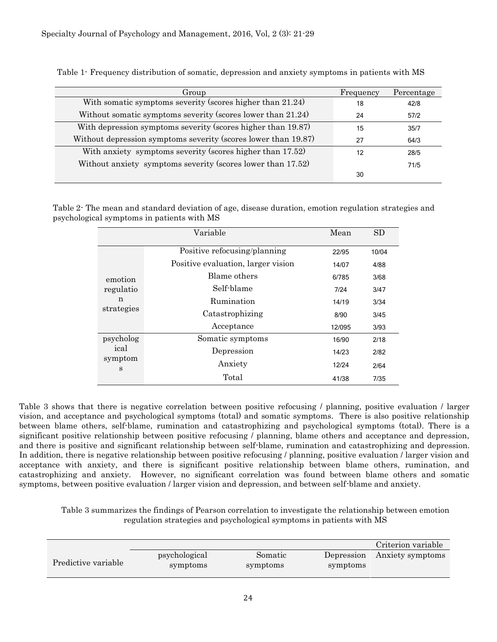| Group                                                          | Frequency | Percentage |
|----------------------------------------------------------------|-----------|------------|
| With somatic symptoms severity (scores higher than 21.24)      | 18        | 42/8       |
| Without somatic symptoms severity (scores lower than 21.24)    | 24        | 57/2       |
| With depression symptoms severity (scores higher than 19.87)   | 15        | 35/7       |
| Without depression symptoms severity (scores lower than 19.87) | 27        | 64/3       |
| With anxiety symptoms severity (scores higher than 17.52)      | 12        | 28/5       |
| Without anxiety symptoms severity (scores lower than 17.52)    |           | 71/5       |
|                                                                | 30        |            |

Table 1- Frequency distribution of somatic, depression and anxiety symptoms in patients with MS

Table 2- The mean and standard deviation of age, disease duration, emotion regulation strategies and psychological symptoms in patients with MS

|                      | Variable                           | Mean   | SD    |
|----------------------|------------------------------------|--------|-------|
|                      | Positive refocusing/planning       | 22/95  | 10/04 |
| emotion              | Positive evaluation, larger vision | 14/07  | 4/88  |
|                      | Blame others                       | 6/785  | 3/68  |
| regulatio            | Self-blame                         | 7/24   | 3/47  |
| n                    | Rumination                         | 14/19  | 3/34  |
| strategies           | Catastrophizing                    | 8/90   | 3/45  |
|                      | Acceptance                         | 12/095 | 3/93  |
| psycholog            | Somatic symptoms                   | 16/90  | 2/18  |
| ical<br>symptom<br>S | Depression                         | 14/23  | 2/82  |
|                      | Anxiety                            | 12/24  | 2/64  |
|                      | Total                              | 41/38  | 7/35  |

Table 3 shows that there is negative correlation between positive refocusing / planning, positive evaluation / larger vision, and acceptance and psychological symptoms (total) and somatic symptoms. There is also positive relationship between blame others, self-blame, rumination and catastrophizing and psychological symptoms (total). There is a significant positive relationship between positive refocusing / planning, blame others and acceptance and depression, and there is positive and significant relationship between self-blame, rumination and catastrophizing and depression. In addition, there is negative relationship between positive refocusing / planning, positive evaluation / larger vision and acceptance with anxiety, and there is significant positive relationship between blame others, rumination, and catastrophizing and anxiety. However, no significant correlation was found between blame others and somatic symptoms, between positive evaluation / larger vision and depression, and between self-blame and anxiety.

Table 3 summarizes the findings of Pearson correlation to investigate the relationship between emotion regulation strategies and psychological symptoms in patients with MS

|                     |                           |                     |                        | Criterion variable |
|---------------------|---------------------------|---------------------|------------------------|--------------------|
| Predictive variable | psychological<br>symptoms | Somatic<br>symptoms | Depression<br>symptoms | Anxiety symptoms   |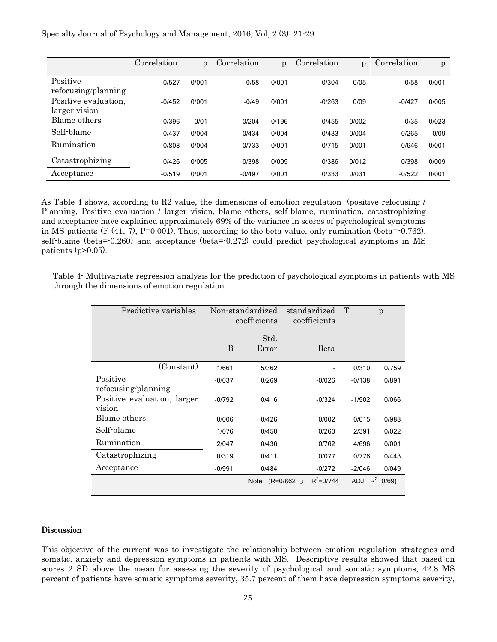|  |  |  |  |  |  | Specialty Journal of Psychology and Management, 2016, Vol, 2 (3): 21-29 |  |  |  |
|--|--|--|--|--|--|-------------------------------------------------------------------------|--|--|--|
|--|--|--|--|--|--|-------------------------------------------------------------------------|--|--|--|

|                                       | Correlation | p     | Correlation | p     | Correlation | $\mathfrak{p}$ | Correlation | p     |
|---------------------------------------|-------------|-------|-------------|-------|-------------|----------------|-------------|-------|
| Positive<br>refocusing/planning       | $-0/527$    | 0/001 | $-0/58$     | 0/001 | $-0/304$    | 0/05           | $-0/58$     | 0/001 |
| Positive evaluation,<br>larger vision | $-0/452$    | 0/001 | $-0/49$     | 0/001 | $-0/263$    | 0/09           | $-0/427$    | 0/005 |
| Blame others                          | 0/396       | 0/01  | 0/204       | 0/196 | 0/455       | 0/002          | 0/35        | 0/023 |
| Self-blame                            | 0/437       | 0/004 | 0/434       | 0/004 | 0/433       | 0/004          | 0/265       | 0/09  |
| Rumination                            | 0/808       | 0/004 | 0/733       | 0/001 | 0/715       | 0/001          | 0/646       | 0/001 |
| Catastrophizing                       | 0/426       | 0/005 | 0/398       | 0/009 | 0/386       | 0/012          | 0/398       | 0/009 |
| Acceptance                            | $-0/519$    | 0/001 | $-0/497$    | 0/001 | 0/333       | 0/031          | $-0/522$    | 0/001 |

As Table 4 shows, according to R2 value, the dimensions of emotion regulation (positive refocusing / Planning, Positive evaluation / larger vision, blame others, self-blame, rumination, catastrophizing and acceptance have explained approximately 69% of the variance in scores of psychological symptoms in MS patients (F  $(41, 7)$ , P=0.001). Thus, according to the beta value, only rumination (beta= $-0.762$ ), self-blame (beta=-0.260) and acceptance (beta=-0.272) could predict psychological symptoms in MS patients  $(p>0.05)$ .

Table 4- Multivariate regression analysis for the prediction of psychological symptoms in patients with MS through the dimensions of emotion regulation

| Predictive variables                  | Non-standardized<br>coefficients |                 | standardized<br>coefficients | T        | p                |
|---------------------------------------|----------------------------------|-----------------|------------------------------|----------|------------------|
|                                       | B                                | Std.<br>Error   | Beta                         |          |                  |
| (Constant)                            | 1/661                            | 5/362           |                              | 0/310    | 0/759            |
| Positive<br>refocusing/planning       | $-0/037$                         | 0/269           | $-0/026$                     | $-0/138$ | 0/891            |
| Positive evaluation, larger<br>vision | $-0/792$                         | 0/416           | $-0/324$                     | $-1/902$ | 0/066            |
| Blame others                          | 0/006                            | 0/426           | 0/002                        | 0/015    | 0/988            |
| Self-blame                            | 1/076                            | 0/450           | 0/260                        | 2/391    | 0/022            |
| Rumination                            | 2/047                            | 0/436           | 0/762                        | 4/696    | 0/001            |
| Catastrophizing                       | 0/319                            | 0/411           | 0/077                        | 0/776    | 0/443            |
| Acceptance                            | $-0/991$                         | 0/484           | $-0/272$                     | $-2/046$ | 0/049            |
|                                       |                                  | Note: (R=0/862) | $R^2 = 0/744$                |          | ADJ, $R^2$ 0/69) |

#### Discussion

This objective of the current was to investigate the relationship between emotion regulation strategies and somatic, anxiety and depression symptoms in patients with MS. Descriptive results showed that based on scores 2 SD above the mean for assessing the severity of psychological and somatic symptoms, 42.8 MS percent of patients have somatic symptoms severity, 35.7 percent of them have depression symptoms severity,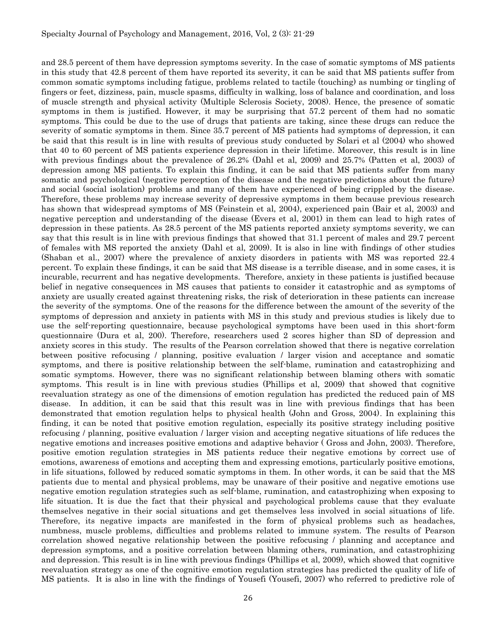and 28.5 percent of them have depression symptoms severity. In the case of somatic symptoms of MS patients in this study that 42.8 percent of them have reported its severity, it can be said that MS patients suffer from common somatic symptoms including fatigue, problems related to tactile (touching) as numbing or tingling of fingers or feet, dizziness, pain, muscle spasms, difficulty in walking, loss of balance and coordination, and loss of muscle strength and physical activity (Multiple Sclerosis Society, 2008). Hence, the presence of somatic symptoms in them is justified. However, it may be surprising that 57.2 percent of them had no somatic symptoms. This could be due to the use of drugs that patients are taking, since these drugs can reduce the severity of somatic symptoms in them. Since 35.7 percent of MS patients had symptoms of depression, it can be said that this result is in line with results of previous study conducted by Solari et al (2004) who showed that 40 to 60 percent of MS patients experience depression in their lifetime. Moreover, this result is in line with previous findings about the prevalence of 26.2% (Dahl et al, 2009) and 25.7% (Patten et al, 2003) of depression among MS patients. To explain this finding, it can be said that MS patients suffer from many somatic and psychological (negative perception of the disease and the negative predictions about the future) and social (social isolation) problems and many of them have experienced of being crippled by the disease. Therefore, these problems may increase severity of depressive symptoms in them because previous research has shown that widespread symptoms of MS (Feinstein et al, 2004), experienced pain (Bair et al, 2003) and negative perception and understanding of the disease (Evers et al, 2001) in them can lead to high rates of depression in these patients. As 28.5 percent of the MS patients reported anxiety symptoms severity, we can say that this result is in line with previous findings that showed that 31.1 percent of males and 29.7 percent of females with MS reported the anxiety (Dahl et al, 2009). It is also in line with findings of other studies (Shaban et al., 2007) where the prevalence of anxiety disorders in patients with MS was reported 22.4 percent. To explain these findings, it can be said that MS disease is a terrible disease, and in some cases, it is incurable, recurrent and has negative developments. Therefore, anxiety in these patients is justified because belief in negative consequences in MS causes that patients to consider it catastrophic and as symptoms of anxiety are usually created against threatening risks, the risk of deterioration in these patients can increase the severity of the symptoms. One of the reasons for the difference between the amount of the severity of the symptoms of depression and anxiety in patients with MS in this study and previous studies is likely due to use the self-reporting questionnaire, because psychological symptoms have been used in this short-form questionnaire (Dura et al, 200). Therefore, researchers used 2 scores higher than SD of depression and anxiety scores in this study. The results of the Pearson correlation showed that there is negative correlation between positive refocusing / planning, positive evaluation / larger vision and acceptance and somatic symptoms, and there is positive relationship between the self-blame, rumination and catastrophizing and somatic symptoms. However, there was no significant relationship between blaming others with somatic symptoms. This result is in line with previous studies (Phillips et al, 2009) that showed that cognitive reevaluation strategy as one of the dimensions of emotion regulation has predicted the reduced pain of MS disease. In addition, it can be said that this result was in line with previous findings that has been demonstrated that emotion regulation helps to physical health (John and Gross, 2004). In explaining this finding, it can be noted that positive emotion regulation, especially its positive strategy including positive refocusing / planning, positive evaluation / larger vision and accepting negative situations of life reduces the negative emotions and increases positive emotions and adaptive behavior ( Gross and John, 2003). Therefore, positive emotion regulation strategies in MS patients reduce their negative emotions by correct use of emotions, awareness of emotions and accepting them and expressing emotions, particularly positive emotions, in life situations, followed by reduced somatic symptoms in them. In other words, it can be said that the MS patients due to mental and physical problems, may be unaware of their positive and negative emotions use negative emotion regulation strategies such as self-blame, rumination, and catastrophizing when exposing to life situation. It is due the fact that their physical and psychological problems cause that they evaluate themselves negative in their social situations and get themselves less involved in social situations of life. Therefore, its negative impacts are manifested in the form of physical problems such as headaches, numbness, muscle problems, difficulties and problems related to immune system. The results of Pearson correlation showed negative relationship between the positive refocusing / planning and acceptance and depression symptoms, and a positive correlation between blaming others, rumination, and catastrophizing and depression. This result is in line with previous findings (Phillips et al, 2009), which showed that cognitive reevaluation strategy as one of the cognitive emotion regulation strategies has predicted the quality of life of MS patients. It is also in line with the findings of Yousefi (Yousefi, 2007) who referred to predictive role of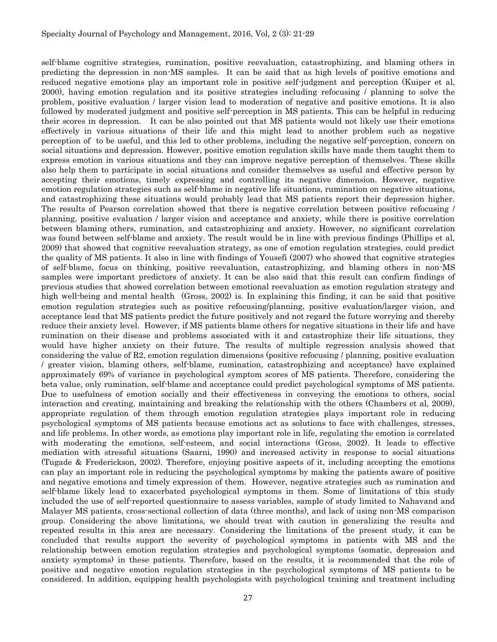self-blame cognitive strategies, rumination, positive reevaluation, catastrophizing, and blaming others in predicting the depression in non-MS samples. It can be said that as high levels of positive emotions and reduced negative emotions play an important role in positive self-judgment and perception (Kuiper et al, 2000), having emotion regulation and its positive strategies including refocusing / planning to solve the problem, positive evaluation / larger vision lead to moderation of negative and positive emotions. It is also followed by moderated judgment and positive self-perception in MS patients. This can be helpful in reducing their scores in depression. It can be also pointed out that MS patients would not likely use their emotions effectively in various situations of their life and this might lead to another problem such as negative perception of to be useful, and this led to other problems, including the negative self-perception, concern on social situations and depression. However, positive emotion regulation skills have made them taught them to express emotion in various situations and they can improve negative perception of themselves. These skills also help them to participate in social situations and consider themselves as useful and effective person by accepting their emotions, timely expressing and controlling its negative dimension. However, negative emotion regulation strategies such as self-blame in negative life situations, rumination on negative situations, and catastrophizing these situations would probably lead that MS patients report their depression higher. The results of Pearson correlation showed that there is negative correlation between positive refocusing / planning, positive evaluation / larger vision and acceptance and anxiety, while there is positive correlation between blaming others, rumination, and catastrophizing and anxiety. However, no significant correlation was found between self-blame and anxiety. The result would be in line with previous findings (Phillips et al, 2009) that showed that cognitive reevaluation strategy, as one of emotion regulation strategies, could predict the quality of MS patients. It also in line with findings of Yousefi (2007) who showed that cognitive strategies of self-blame, focus on thinking, positive reevaluation, catastrophizing, and blaming others in non-MS samples were important predictors of anxiety. It can be also said that this result can confirm findings of previous studies that showed correlation between emotional reevaluation as emotion regulation strategy and high well-being and mental health (Gross, 2002) is. In explaining this finding, it can be said that positive emotion regulation strategies such as positive refocusing/planning, positive evaluation/larger vision, and acceptance lead that MS patients predict the future positively and not regard the future worrying and thereby reduce their anxiety level. However, if MS patients blame others for negative situations in their life and have rumination on their disease and problems associated with it and catastrophize their life situations, they would have higher anxiety on their future. The results of multiple regression analysis showed that considering the value of R2, emotion regulation dimensions (positive refocusing / planning, positive evaluation / greater vision, blaming others, self-blame, rumination, catastrophizing and acceptance) have explained approximately 69% of variance in psychological symptom scores of MS patients. Therefore, considering the beta value, only rumination, self-blame and acceptance could predict psychological symptoms of MS patients. Due to usefulness of emotion socially and their effectiveness in conveying the emotions to others, social interaction and creating, maintaining and breaking the relationship with the others (Chambers et al, 2009), appropriate regulation of them through emotion regulation strategies plays important role in reducing psychological symptoms of MS patients because emotions act as solutions to face with challenges, stresses, and life problems. In other words, as emotions play important role in life, regulating the emotion is correlated with moderating the emotions, self-esteem, and social interactions (Gross, 2002). It leads to effective mediation with stressful situations (Saarni, 1990) and increased activity in response to social situations (Tugade & Frederickson, 2002). Therefore, enjoying positive aspects of it, including accepting the emotions can play an important role in reducing the psychological symptoms by making the patients aware of positive and negative emotions and timely expression of them. However, negative strategies such as rumination and self-blame likely lead to exacerbated psychological symptoms in them. Some of limitations of this study included the use of self-reported questionnaire to assess variables, sample of study limited to Nahavand and Malayer MS patients, cross-sectional collection of data (three months), and lack of using non-MS comparison group. Considering the above limitations, we should treat with caution in generalizing the results and repeated results in this area are necessary. Considering the limitations of the present study, it can be concluded that results support the severity of psychological symptoms in patients with MS and the relationship between emotion regulation strategies and psychological symptoms (somatic, depression and anxiety symptoms) in these patients. Therefore, based on the results, it is recommended that the role of positive and negative emotion regulation strategies in the psychological symptoms of MS patients to be considered. In addition, equipping health psychologists with psychological training and treatment including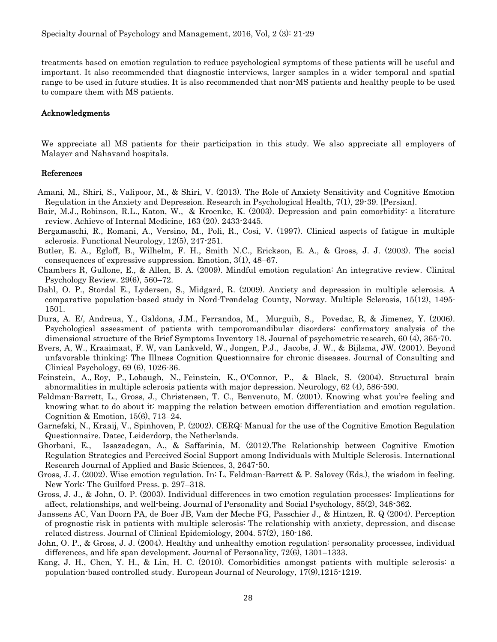treatments based on emotion regulation to reduce psychological symptoms of these patients will be useful and important. It also recommended that diagnostic interviews, larger samples in a wider temporal and spatial range to be used in future studies. It is also recommended that non-MS patients and healthy people to be used to compare them with MS patients.

#### Acknowledgments

We appreciate all MS patients for their participation in this study. We also appreciate all employers of Malayer and Nahavand hospitals.

#### References

- Amani, M., Shiri, S., Valipoor, M., & Shiri, V. (2013). The Role of Anxiety Sensitivity and Cognitive Emotion Regulation in the Anxiety and Depression. Research in Psychological Health, 7(1), 29-39. [Persian].
- [Bair, M.J.](http://www.ncbi.nlm.nih.gov/pubmed?term=Bair%20MJ%5BAuthor%5D&cauthor=true&cauthor_uid=14609780), [Robinson, R.L.](http://www.ncbi.nlm.nih.gov/pubmed?term=Robinson%20RL%5BAuthor%5D&cauthor=true&cauthor_uid=14609780), [Katon, W.](http://www.ncbi.nlm.nih.gov/pubmed?term=Katon%20W%5BAuthor%5D&cauthor=true&cauthor_uid=14609780), & [Kroenke, K.](http://www.ncbi.nlm.nih.gov/pubmed?term=Kroenke%20K%5BAuthor%5D&cauthor=true&cauthor_uid=14609780) (2003). Depression and pain comorbidity: a literature review. Achieve of Internal Medicine, 163 (20). 2433-2445.
- Bergamaschi, R., Romani, A., Versino, M., Poli, R., Cosi, V. (1997). Clinical aspects of fatigue in multiple sclerosis. [Functional Neurolo](http://www.ncbi.nlm.nih.gov/pubmed/9439942)gy, 12(5), 247-251.
- Butler, E. A., Egloff, B., Wilhelm, F. H., Smith N.C., Erickson, E. A., & Gross, J. J. (2003). The social consequences of expressive suppression. Emotion, 3(1), 48–67.
- Chambers R, Gullone, E., & Allen, B. A. (2009). Mindful emotion regulation: An integrative review. [Clinical](http://www.sciencedirect.com/science/journal/02727358)  [Psychology Review.](http://www.sciencedirect.com/science/journal/02727358) 29(6), 560–72.
- [Dahl,](http://msj.sagepub.com/search?author1=Ole-Petter+Dahl&sortspec=date&submit=Submit) O. P., [Stordal](http://msj.sagepub.com/search?author1=Eystein+Stordal&sortspec=date&submit=Submit) E., [Lydersen,](http://msj.sagepub.com/search?author1=Stian+Lydersen&sortspec=date&submit=Submit) S., [Midgard,](http://msj.sagepub.com/search?author1=Rune+Midgard&sortspec=date&submit=Submit) R. (2009). Anxiety and depression in multiple sclerosis. A comparative population-based study in Nord-Trøndelag County, Norway. [Multiple Sclero](http://www.ncbi.nlm.nih.gov/pubmed/?term=Anxiety+and+depression+in+multiple+sclerosis.+A+comparative+population-based+study+in+Nord-Tr%C3%B8ndelag+County%2C+Norway)sis, 15(12), 1495- 1501.
- Dura, A. E/, Andreua, Y., Galdona, J.M., Ferrandoa, M., Murguib, S., Povedac, R, & [Jimenez, Y.](http://www.ncbi.nlm.nih.gov/pubmed/?term=Jimenez%20Y%5BAuthor%5D&cauthor=true&cauthor_uid=16581360) (2006). Psychological assessment of patients with temporomandibular disorders: confirmatory analysis of the dimensional structure of the Brief Symptoms Inventory 18. Journal of psychometric research, 60 (4), 365-70.
- [Evers, A, W.](http://www.ncbi.nlm.nih.gov/pubmed?term=Evers%20AW%5BAuthor%5D&cauthor=true&cauthor_uid=11777106), [Kraaimaat, F. W,](http://www.ncbi.nlm.nih.gov/pubmed?term=Kraaimaat%20FW%5BAuthor%5D&cauthor=true&cauthor_uid=11777106) [van Lankveld, W.,](http://www.ncbi.nlm.nih.gov/pubmed?term=van%20Lankveld%20W%5BAuthor%5D&cauthor=true&cauthor_uid=11777106) [Jongen, P.J.](http://www.ncbi.nlm.nih.gov/pubmed?term=Jongen%20PJ%5BAuthor%5D&cauthor=true&cauthor_uid=11777106), [Jacobs, J. W.](http://www.ncbi.nlm.nih.gov/pubmed?term=Jacobs%20JW%5BAuthor%5D&cauthor=true&cauthor_uid=11777106), & [Bijlsma, JW.](http://www.ncbi.nlm.nih.gov/pubmed?term=Bijlsma%20JW%5BAuthor%5D&cauthor=true&cauthor_uid=11777106) (2001). Beyond unfavorable thinking: The Illness Cognition Questionnaire for chronic diseases. Journal of Consulting and Clinical Psychology, 69 (6), 1026-36.
- [Feinstein, A.](http://www.ncbi.nlm.nih.gov/pubmed?term=Feinstein%20A%5BAuthor%5D&cauthor=true&cauthor_uid=14981175), [Roy, P.](http://www.ncbi.nlm.nih.gov/pubmed?term=Roy%20P%5BAuthor%5D&cauthor=true&cauthor_uid=14981175), [Lobaugh, N.](http://www.ncbi.nlm.nih.gov/pubmed?term=Lobaugh%20N%5BAuthor%5D&cauthor=true&cauthor_uid=14981175), [Feinstein, K.](http://www.ncbi.nlm.nih.gov/pubmed?term=Feinstein%20K%5BAuthor%5D&cauthor=true&cauthor_uid=14981175), [O'Connor, P.](http://www.ncbi.nlm.nih.gov/pubmed?term=O), & [Black, S.](http://www.ncbi.nlm.nih.gov/pubmed?term=Black%20S%5BAuthor%5D&cauthor=true&cauthor_uid=14981175) (2004). Structural brain abnormalities in multiple sclerosis patients with major depression. Neurology, 62 (4), 586-590.
- Feldman-Barrett, L., Gross, J., Christensen, T. C., Benvenuto, M. (2001). Knowing what you're feeling and knowing what to do about it: mapping the relation between emotion differentiation and emotion regulation. Cognition & Emotion, 15(6), 713–24.
- Garnefski, N., Kraaij, V., Spinhoven, P. (2002). CERQ: Manual for the use of the Cognitive Emotion Regulation Questionnaire. Datec, Leiderdorp, the Netherlands.
- Ghorbani, E., Issazadegan, A., & Saffarinia, M. (2012).The Relationship between Cognitive Emotion Regulation Strategies and Perceived Social Support among Individuals with Multiple Sclerosis. International Research Journal of Applied and Basic Sciences, 3, 2647-50.
- Gross, J. J. (2002). Wise emotion regulation. In: L. Feldman-Barrett & P. Salovey (Eds.), the wisdom in feeling. New York: The Guilford Press. p. 297–318.
- Gross, J. J., & John, O. P. (2003). Individual differences in two emotion regulation processes: Implications for affect, relationships, and well-being. Journal of Personality and Social Psychology, 85(2), 348-362.
- Janssens AC, Van Doorn PA, de Boer JB, Vam der Meche FG, Passchier J., & [Hintzen, R. Q](http://www.ncbi.nlm.nih.gov/pubmed/?term=Hintzen%20RQ%5BAuthor%5D&cauthor=true&cauthor_uid=15125628) (2004). Perception of prognostic risk in patients with multiple sclerosis: The relationship with anxiety, depression, and disease related distress. [Journal of Clinical Epidemiolo](http://www.ncbi.nlm.nih.gov/pubmed/?term=Perception+of+prognostic+risk+in+patients+with+multiple+sclerosis%3A+The+relationship+with+anxiety%2C+depression%2C+and+disease+related+distress)gy, 2004. 57(2), 180-186.
- John, O. P., & Gross, J. J. (2004). Healthy and unhealthy emotion regulation: personality processes, individual differences, and life span development. Journal of Personality, 72(6), 1301–1333.
- Kang, J. H., Chen, Y. H., & Lin, H. C. (2010). Comorbidities amongst patients with multiple sclerosis: a population-based controlled study. European Journal of Neurology, 17(9),1215-1219.